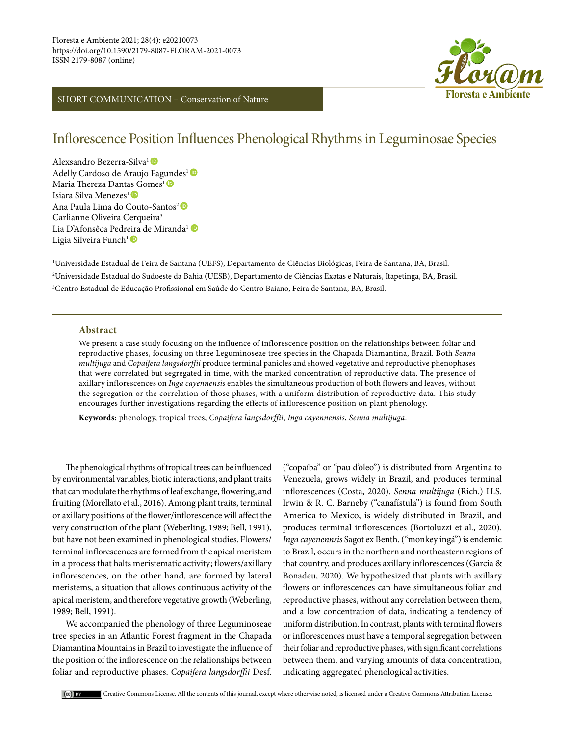## SHORT COMMUNICATION – Conservation of Nature



# Inflorescence Position Influences Phenological Rhythms in Leguminosae Species

Alexsandro Bezerra-Silva1 Adelly Cardoso de Araujo Fag[und](https://orcid.org/0000-0002-3312-5251)es<sup>1</sup><sup>D</sup> Maria Thereza Dant[as G](https://orcid.org/0000-0003-0745-7743)omes<sup>1</sup><sup>®</sup> Isiara Silva Menezes<sup>1</sup> AnaPaula Lima do Couto-Santos<sup>2</sup><sup>®</sup> Carlianne Oliveira Cerqueira<sup>3</sup> Lia D'Afonsêca Pedr[eira](https://orcid.org/0000-0001-7096-0187) de Miranda<sup>1</sup> D Ligia Silveira Funch<sup>1</sup>

1 Universidade Estadual de Feira de Santana (UEFS), Departamento de Ciências Biológicas, Feira de Santana, BA, Brasil. 2 Universidade Estadual do Sudoeste da Bahia (UESB), Departamento de Ciências Exatas e Naturais, Itapetinga, BA, Brasil. 3 Centro Estadual de Educação Profissional em Saúde do Centro Baiano, Feira de Santana, BA, Brasil.

#### **Abstract**

We present a case study focusing on the influence of inflorescence position on the relationships between foliar and reproductive phases, focusing on three Leguminoseae tree species in the Chapada Diamantina, Brazil. Both *Senna multijuga* and *Copaifera langsdorffii* produce terminal panicles and showed vegetative and reproductive phenophases that were correlated but segregated in time, with the marked concentration of reproductive data. The presence of axillary inflorescences on *Inga cayennensis* enables the simultaneous production of both flowers and leaves, without the segregation or the correlation of those phases, with a uniform distribution of reproductive data. This study encourages further investigations regarding the effects of inflorescence position on plant phenology.

**Keywords:** phenology, tropical trees, *Copaifera langsdorffii*, *Inga cayennensis*, *Senna multijuga*.

The phenological rhythms of tropical trees can be influenced by environmental variables, biotic interactions, and plant traits that can modulate the rhythms of leaf exchange, flowering, and fruiting (Morellato et al., 2016). Among plant traits, terminal or axillary positions of the flower/inflorescence will affect the very construction of the plant (Weberling, 1989; Bell, 1991), but have not been examined in phenological studies. Flowers/ terminal inflorescences are formed from the apical meristem in a process that halts meristematic activity; flowers/axillary inflorescences, on the other hand, are formed by lateral meristems, a situation that allows continuous activity of the apical meristem, and therefore vegetative growth (Weberling, 1989; Bell, 1991).

We accompanied the phenology of three Leguminoseae tree species in an Atlantic Forest fragment in the Chapada Diamantina Mountains in Brazil to investigate the influence of the position of the inflorescence on the relationships between foliar and reproductive phases. *Copaifera langsdorffii* Desf. ("copaíba" or "pau d'óleo") is distributed from Argentina to Venezuela, grows widely in Brazil, and produces terminal inflorescences (Costa, 2020). *Senna multijuga* (Rich.) H.S. Irwin & R. C. Barneby ("canafístula") is found from South America to Mexico, is widely distributed in Brazil, and produces terminal inflorescences (Bortoluzzi et al., 2020). *Inga cayenennsis* Sagot ex Benth. ("monkey ingá") is endemic to Brazil, occurs in the northern and northeastern regions of that country, and produces axillary inflorescences (Garcia & Bonadeu, 2020). We hypothesized that plants with axillary flowers or inflorescences can have simultaneous foliar and reproductive phases, without any correlation between them, and a low concentration of data, indicating a tendency of uniform distribution. In contrast, plants with terminal flowers or inflorescences must have a temporal segregation between their foliar and reproductive phases, with significant correlations between them, and varying amounts of data concentration, indicating aggregated phenological activities.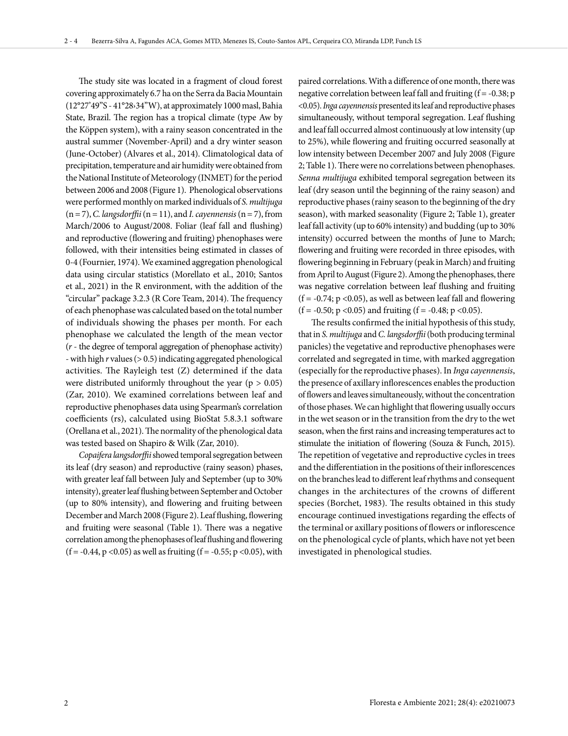The study site was located in a fragment of cloud forest covering approximately 6.7 ha on the Serra da Bacia Mountain (12°27'49"S - 41°28›34"W), at approximately 1000 masl, Bahia State, Brazil. The region has a tropical climate (type Aw by the Köppen system), with a rainy season concentrated in the austral summer (November-April) and a dry winter season (June-October) (Alvares et al., 2014). Climatological data of precipitation, temperature and air humidity were obtained from the National Institute of Meteorology (INMET) for the period between 2006 and 2008 (Figure 1). Phenological observations were performed monthly on marked individuals of *S. multijuga* (n = 7), *C. langsdorffii* (n = 11), and *I. cayennensis* (n = 7), from March/2006 to August/2008. Foliar (leaf fall and flushing) and reproductive (flowering and fruiting) phenophases were followed, with their intensities being estimated in classes of 0-4 (Fournier, 1974). We examined aggregation phenological data using circular statistics (Morellato et al., 2010; Santos et al., 2021) in the R environment, with the addition of the "circular" package 3.2.3 (R Core Team, 2014). The frequency of each phenophase was calculated based on the total number of individuals showing the phases per month. For each phenophase we calculated the length of the mean vector (*r* - the degree of temporal aggregation of phenophase activity) - with high *r* values (> 0.5) indicating aggregated phenological activities. The Rayleigh test (Z) determined if the data were distributed uniformly throughout the year ( $p > 0.05$ ) (Zar, 2010). We examined correlations between leaf and reproductive phenophases data using Spearman's correlation coefficients (rs), calculated using BioStat 5.8.3.1 software (Orellana et al., 2021). The normality of the phenological data was tested based on Shapiro & Wilk (Zar, 2010).

*Copaifera langsdorffii* showed temporal segregation between its leaf (dry season) and reproductive (rainy season) phases, with greater leaf fall between July and September (up to 30% intensity), greater leaf flushing between September and October (up to 80% intensity), and flowering and fruiting between December and March 2008 (Figure 2). Leaf flushing, flowering and fruiting were seasonal (Table 1). There was a negative correlation among the phenophases of leaf flushing and flowering  $(f = -0.44, p < 0.05)$  as well as fruiting  $(f = -0.55; p < 0.05)$ , with

paired correlations. With a difference of one month, there was negative correlation between leaf fall and fruiting  $(f = -0.38; p$ <0.05). *Inga cayennensis* presented its leaf and reproductive phases simultaneously, without temporal segregation. Leaf flushing and leaf fall occurred almost continuously at low intensity (up to 25%), while flowering and fruiting occurred seasonally at low intensity between December 2007 and July 2008 (Figure 2; Table 1). There were no correlations between phenophases. *Senna multijuga* exhibited temporal segregation between its leaf (dry season until the beginning of the rainy season) and reproductive phases (rainy season to the beginning of the dry season), with marked seasonality (Figure 2; Table 1), greater leaf fall activity (up to 60% intensity) and budding (up to 30% intensity) occurred between the months of June to March; flowering and fruiting were recorded in three episodes, with flowering beginning in February (peak in March) and fruiting from April to August (Figure 2). Among the phenophases, there was negative correlation between leaf flushing and fruiting  $(f = -0.74; p < 0.05)$ , as well as between leaf fall and flowering (f = -0.50; p <0.05) and fruiting (f = -0.48; p <0.05).

The results confirmed the initial hypothesis of this study, that in *S. multijuga* and *C. langsdorffii* (both producing terminal panicles) the vegetative and reproductive phenophases were correlated and segregated in time, with marked aggregation (especially for the reproductive phases). In *Inga cayennensis*, the presence of axillary inflorescences enables the production of flowers and leaves simultaneously, without the concentration of those phases. We can highlight that flowering usually occurs in the wet season or in the transition from the dry to the wet season, when the first rains and increasing temperatures act to stimulate the initiation of flowering (Souza & Funch, 2015). The repetition of vegetative and reproductive cycles in trees and the differentiation in the positions of their inflorescences on the branches lead to different leaf rhythms and consequent changes in the architectures of the crowns of different species (Borchet, 1983). The results obtained in this study encourage continued investigations regarding the effects of the terminal or axillary positions of flowers or inflorescence on the phenological cycle of plants, which have not yet been investigated in phenological studies.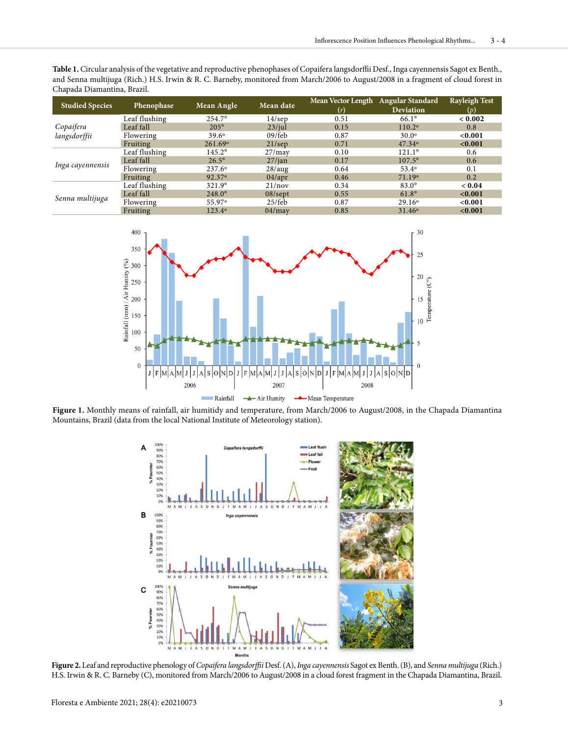**Table 1.** Circular analysis of the vegetative and reproductive phenophases of Copaifera langsdorffii Desf., Inga cayennensis Sagot ex Benth., and Senna multijuga (Rich.) H.S. Irwin & R. C. Barneby, monitored from March/2006 to August/2008 in a fragment of cloud forest in Chapada Diamantina, Brazil.

| <b>Studied Species</b>    | Phenophase    | Mean Angle         | Mean date  | Mean Vector Length Angular Standard |                  | <b>Rayleigh Test</b> |
|---------------------------|---------------|--------------------|------------|-------------------------------------|------------------|----------------------|
|                           |               |                    |            | (r)                                 | <b>Deviation</b> | (p)                  |
| Copaifera<br>langsdorffii | Leaf flushing | $254.7^{\circ}$    | $14$ /sep  | 0.51                                | $66.1^\circ$     | < 0.002              |
|                           | Leaf fall     | $205^\circ$        | $23$ /jul  | 0.15                                | 110.2°           | 0.8                  |
|                           | Flowering     | $39.6^\circ$       | $09$ /feb  | 0.87                                | $30.0^\circ$     | < 0.001              |
|                           | Fruiting      | 261.69°            | $21$ /sep  | 0.71                                | $47.34^{\circ}$  | < 0.001              |
| Inga cayennensis          | Leaf flushing | $145.2^{\circ}$    | 27/may     | 0.10                                | $121.1^{\circ}$  | 0.6                  |
|                           | Leaf fall     | $26.5^\circ$       | 27/ian     | 0.17                                | $107.5^{\circ}$  | 0.6                  |
|                           | Flowering     | 237.6°             | 28/aug     | 0.64                                | $53.4^{\circ}$   | 0.1                  |
|                           | Fruiting      | 92.37 <sup>°</sup> | 04/apr     | 0.46                                | 71.19°           | 0.2                  |
| Senna multijuga           | Leaf flushing | $321.9^{\circ}$    | 21/nov     | 0.34                                | $83.0^\circ$     | ${}_{<} 0.04$        |
|                           | Leaf fall     | $248.0^{\circ}$    | $08$ /sept | 0.55                                | $61.8^\circ$     | < 0.001              |
|                           | Flowering     | 55.97°             | $25$ /feb  | 0.87                                | $29.16^{\circ}$  | < 0.001              |
|                           | Fruiting      | 123.4°             | 04/mav     | 0.85                                | $31.46^{\circ}$  | < 0.001              |



**Figure 1.** Monthly means of rainfall, air humitidy and temperature, from March/2006 to August/2008, in the Chapada Diamantina Mountains, Brazil (data from the local National Institute of Meteorology station).



**Figure 2.** Leaf and reproductive phenology of *Copaifera langsdorffii* Desf.(A), *Inga cayennensis* Sagot ex Benth. (B), and *Sennamultijuga* (Rich.) H.S. Irwin & R. C. Barneby (C), monitored from March/2006 to August/2008 in a cloud forest fragment in the Chapada Diamantina, Brazil.